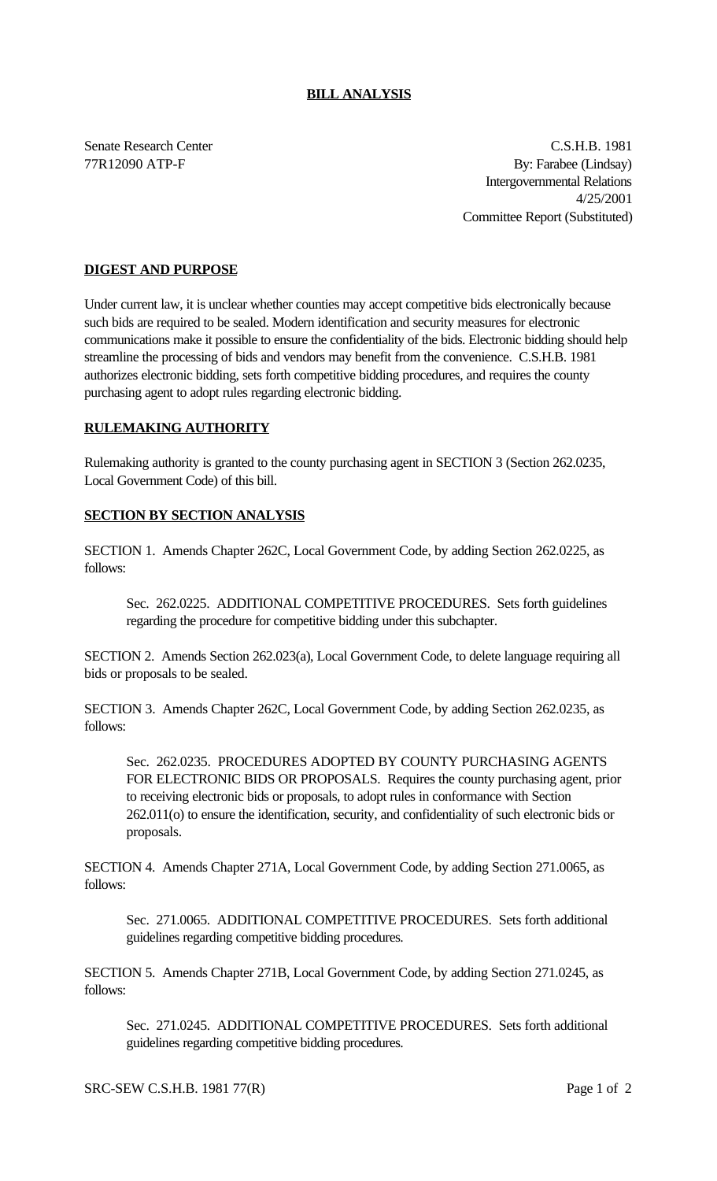## **BILL ANALYSIS**

Senate Research Center C.S.H.B. 1981 77R12090 ATP-F By: Farabee (Lindsay) Intergovernmental Relations 4/25/2001 Committee Report (Substituted)

## **DIGEST AND PURPOSE**

Under current law, it is unclear whether counties may accept competitive bids electronically because such bids are required to be sealed. Modern identification and security measures for electronic communications make it possible to ensure the confidentiality of the bids. Electronic bidding should help streamline the processing of bids and vendors may benefit from the convenience. C.S.H.B. 1981 authorizes electronic bidding, sets forth competitive bidding procedures, and requires the county purchasing agent to adopt rules regarding electronic bidding.

#### **RULEMAKING AUTHORITY**

Rulemaking authority is granted to the county purchasing agent in SECTION 3 (Section 262.0235, Local Government Code) of this bill.

### **SECTION BY SECTION ANALYSIS**

SECTION 1. Amends Chapter 262C, Local Government Code, by adding Section 262.0225, as follows:

Sec. 262.0225. ADDITIONAL COMPETITIVE PROCEDURES. Sets forth guidelines regarding the procedure for competitive bidding under this subchapter.

SECTION 2. Amends Section 262.023(a), Local Government Code, to delete language requiring all bids or proposals to be sealed.

SECTION 3. Amends Chapter 262C, Local Government Code, by adding Section 262.0235, as follows:

Sec. 262.0235. PROCEDURES ADOPTED BY COUNTY PURCHASING AGENTS FOR ELECTRONIC BIDS OR PROPOSALS. Requires the county purchasing agent, prior to receiving electronic bids or proposals, to adopt rules in conformance with Section 262.011(o) to ensure the identification, security, and confidentiality of such electronic bids or proposals.

SECTION 4. Amends Chapter 271A, Local Government Code, by adding Section 271.0065, as follows:

Sec. 271.0065. ADDITIONAL COMPETITIVE PROCEDURES. Sets forth additional guidelines regarding competitive bidding procedures.

SECTION 5. Amends Chapter 271B, Local Government Code, by adding Section 271.0245, as follows:

Sec. 271.0245. ADDITIONAL COMPETITIVE PROCEDURES. Sets forth additional guidelines regarding competitive bidding procedures.